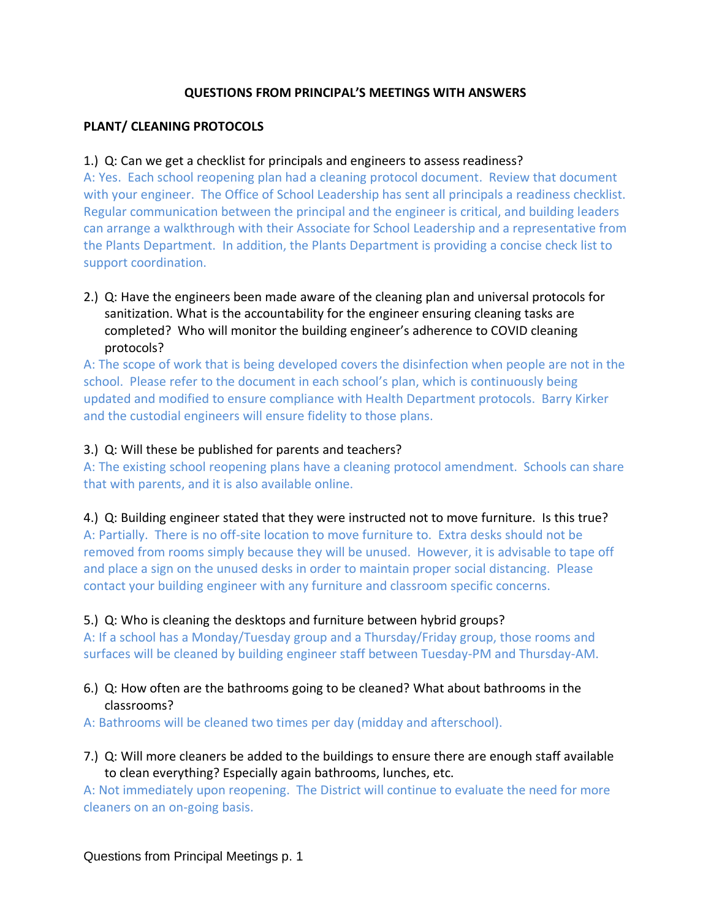#### **QUESTIONS FROM PRINCIPAL'S MEETINGS WITH ANSWERS**

#### **PLANT/ CLEANING PROTOCOLS**

#### 1.) Q: Can we get a checklist for principals and engineers to assess readiness?

A: Yes. Each school reopening plan had a cleaning protocol document. Review that document with your engineer. The Office of School Leadership has sent all principals a readiness checklist. Regular communication between the principal and the engineer is critical, and building leaders can arrange a walkthrough with their Associate for School Leadership and a representative from the Plants Department. In addition, the Plants Department is providing a concise check list to support coordination.

## 2.) Q: Have the engineers been made aware of the cleaning plan and universal protocols for sanitization. What is the accountability for the engineer ensuring cleaning tasks are completed? Who will monitor the building engineer's adherence to COVID cleaning protocols?

A: The scope of work that is being developed covers the disinfection when people are not in the school. Please refer to the document in each school's plan, which is continuously being updated and modified to ensure compliance with Health Department protocols. Barry Kirker and the custodial engineers will ensure fidelity to those plans.

#### 3.) Q: Will these be published for parents and teachers?

A: The existing school reopening plans have a cleaning protocol amendment. Schools can share that with parents, and it is also available online.

#### 4.) Q: Building engineer stated that they were instructed not to move furniture. Is this true?

A: Partially. There is no off-site location to move furniture to. Extra desks should not be removed from rooms simply because they will be unused. However, it is advisable to tape off and place a sign on the unused desks in order to maintain proper social distancing. Please contact your building engineer with any furniture and classroom specific concerns.

#### 5.) Q: Who is cleaning the desktops and furniture between hybrid groups?

A: If a school has a Monday/Tuesday group and a Thursday/Friday group, those rooms and surfaces will be cleaned by building engineer staff between Tuesday-PM and Thursday-AM.

#### 6.) Q: How often are the bathrooms going to be cleaned? What about bathrooms in the classrooms?

A: Bathrooms will be cleaned two times per day (midday and afterschool).

7.) Q: Will more cleaners be added to the buildings to ensure there are enough staff available to clean everything? Especially again bathrooms, lunches, etc.

A: Not immediately upon reopening. The District will continue to evaluate the need for more cleaners on an on-going basis.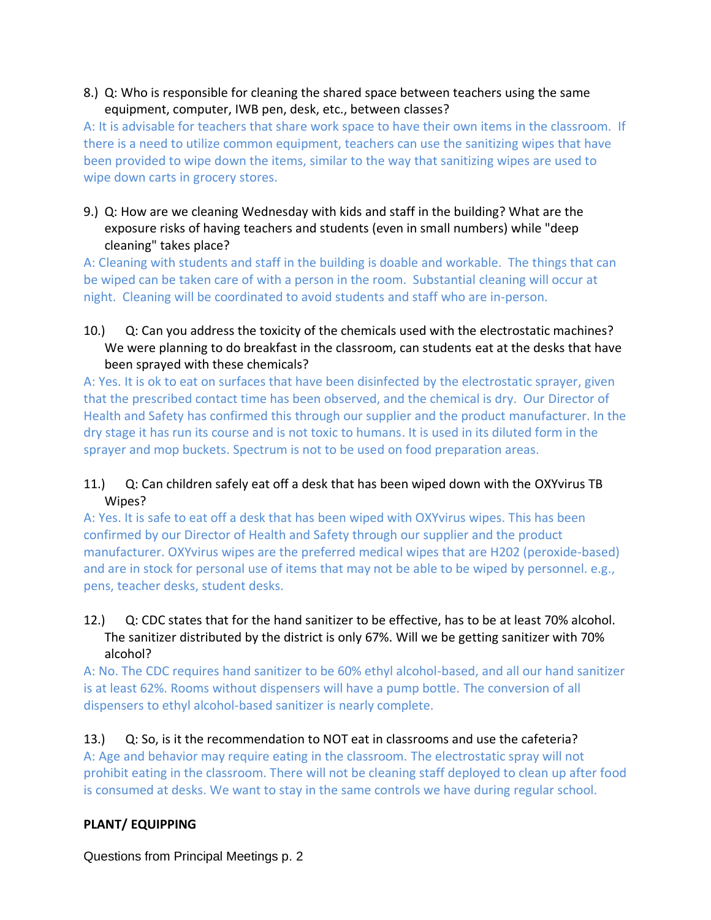#### 8.) Q: Who is responsible for cleaning the shared space between teachers using the same equipment, computer, IWB pen, desk, etc., between classes?

A: It is advisable for teachers that share work space to have their own items in the classroom. If there is a need to utilize common equipment, teachers can use the sanitizing wipes that have been provided to wipe down the items, similar to the way that sanitizing wipes are used to wipe down carts in grocery stores.

9.) Q: How are we cleaning Wednesday with kids and staff in the building? What are the exposure risks of having teachers and students (even in small numbers) while "deep cleaning" takes place?

A: Cleaning with students and staff in the building is doable and workable. The things that can be wiped can be taken care of with a person in the room. Substantial cleaning will occur at night. Cleaning will be coordinated to avoid students and staff who are in-person.

10.) Q: Can you address the toxicity of the chemicals used with the electrostatic machines? We were planning to do breakfast in the classroom, can students eat at the desks that have been sprayed with these chemicals?

A: Yes. It is ok to eat on surfaces that have been disinfected by the electrostatic sprayer, given that the prescribed contact time has been observed, and the chemical is dry. Our Director of Health and Safety has confirmed this through our supplier and the product manufacturer. In the dry stage it has run its course and is not toxic to humans. It is used in its diluted form in the sprayer and mop buckets. Spectrum is not to be used on food preparation areas.

# 11.) Q: Can children safely eat off a desk that has been wiped down with the OXYvirus TB Wipes?

A: Yes. It is safe to eat off a desk that has been wiped with OXYvirus wipes. This has been confirmed by our Director of Health and Safety through our supplier and the product manufacturer. OXYvirus wipes are the preferred medical wipes that are H202 (peroxide-based) and are in stock for personal use of items that may not be able to be wiped by personnel. e.g., pens, teacher desks, student desks.

# 12.) Q: CDC states that for the hand sanitizer to be effective, has to be at least 70% alcohol. The sanitizer distributed by the district is only 67%. Will we be getting sanitizer with 70% alcohol?

A: No. The CDC requires hand sanitizer to be 60% ethyl alcohol-based, and all our hand sanitizer is at least 62%. Rooms without dispensers will have a pump bottle. The conversion of all dispensers to ethyl alcohol-based sanitizer is nearly complete.

13.) Q: So, is it the recommendation to NOT eat in classrooms and use the cafeteria? A: Age and behavior may require eating in the classroom. The electrostatic spray will not prohibit eating in the classroom. There will not be cleaning staff deployed to clean up after food is consumed at desks. We want to stay in the same controls we have during regular school.

# **PLANT/ EQUIPPING**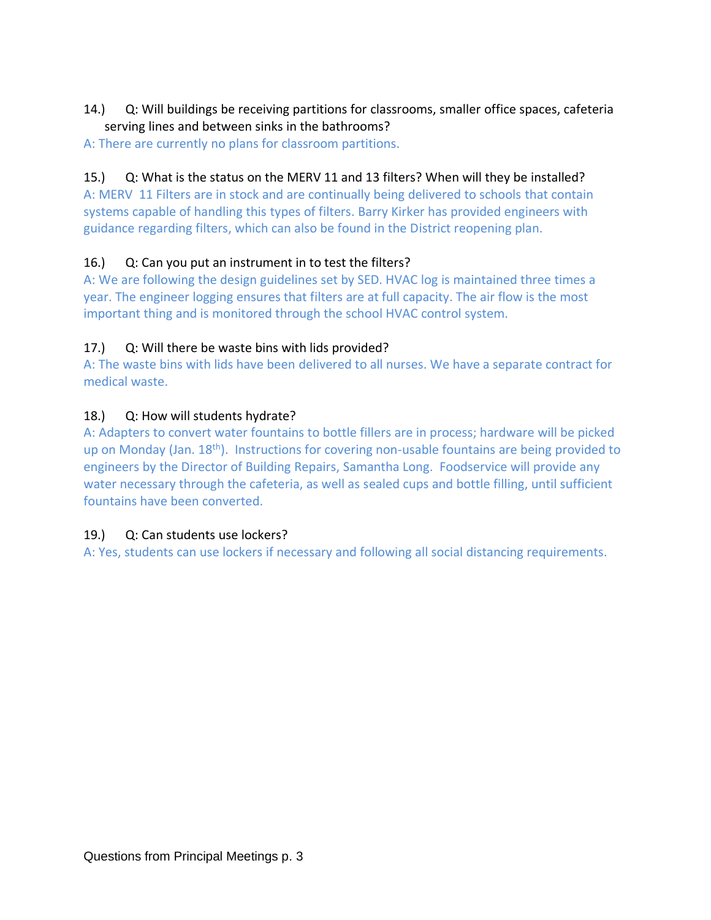## 14.) Q: Will buildings be receiving partitions for classrooms, smaller office spaces, cafeteria serving lines and between sinks in the bathrooms?

A: There are currently no plans for classroom partitions.

## 15.) Q: What is the status on the MERV 11 and 13 filters? When will they be installed?

A: MERV 11 Filters are in stock and are continually being delivered to schools that contain systems capable of handling this types of filters. Barry Kirker has provided engineers with guidance regarding filters, which can also be found in the District reopening plan.

## 16.) Q: Can you put an instrument in to test the filters?

A: We are following the design guidelines set by SED. HVAC log is maintained three times a year. The engineer logging ensures that filters are at full capacity. The air flow is the most important thing and is monitored through the school HVAC control system.

# 17.) Q: Will there be waste bins with lids provided?

A: The waste bins with lids have been delivered to all nurses. We have a separate contract for medical waste.

# 18.) Q: How will students hydrate?

A: Adapters to convert water fountains to bottle fillers are in process; hardware will be picked up on Monday (Jan. 18th). Instructions for covering non-usable fountains are being provided to engineers by the Director of Building Repairs, Samantha Long. Foodservice will provide any water necessary through the cafeteria, as well as sealed cups and bottle filling, until sufficient fountains have been converted.

## 19.) Q: Can students use lockers?

A: Yes, students can use lockers if necessary and following all social distancing requirements.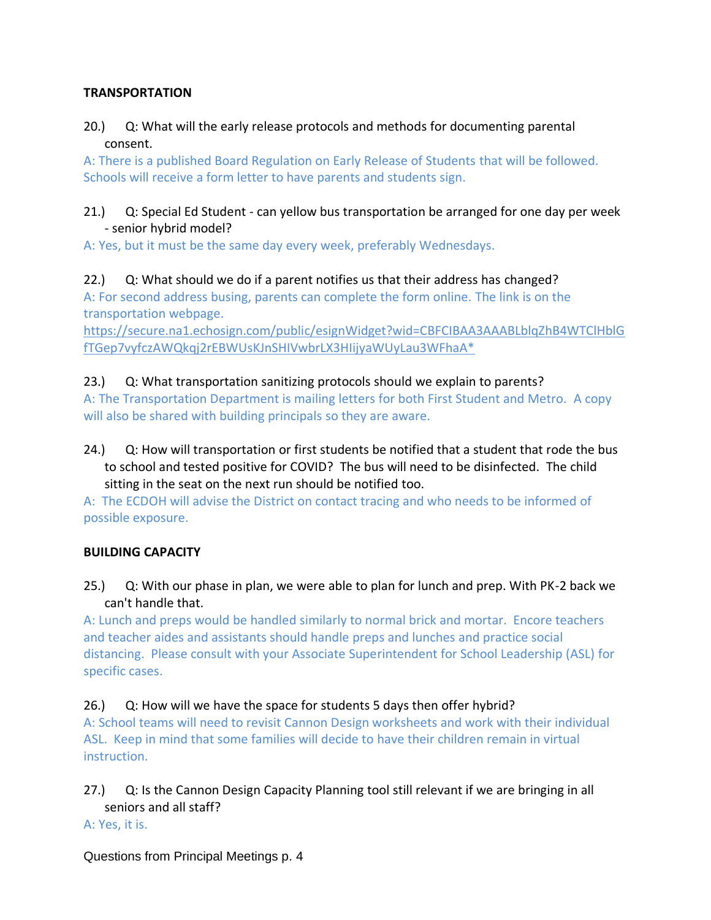## **TRANSPORTATION**

# 20.) Q: What will the early release protocols and methods for documenting parental consent.

A: There is a published Board Regulation on Early Release of Students that will be followed. Schools will receive a form letter to have parents and students sign.

## 21.) Q: Special Ed Student - can yellow bus transportation be arranged for one day per week - senior hybrid model?

A: Yes, but it must be the same day every week, preferably Wednesdays.

#### 22.) Q: What should we do if a parent notifies us that their address has changed? A: For second address busing, parents can complete the form online. The link is on the transportation webpage.

[https://secure.na1.echosign.com/public/esignWidget?wid=CBFCIBAA3AAABLblqZhB4WTClHblG](https://secure.na1.echosign.com/public/esignWidget?wid=CBFCIBAA3AAABLblqZhB4WTClHblGfTGep7vyfczAWQkqj2rEBWUsKJnSHIVwbrLX3HIijyaWUyLau3WFhaA*) [fTGep7vyfczAWQkqj2rEBWUsKJnSHIVwbrLX3HIijyaWUyLau3WFhaA\\*](https://secure.na1.echosign.com/public/esignWidget?wid=CBFCIBAA3AAABLblqZhB4WTClHblGfTGep7vyfczAWQkqj2rEBWUsKJnSHIVwbrLX3HIijyaWUyLau3WFhaA*)

# 23.) Q: What transportation sanitizing protocols should we explain to parents?

A: The Transportation Department is mailing letters for both First Student and Metro. A copy will also be shared with building principals so they are aware.

24.) Q: How will transportation or first students be notified that a student that rode the bus to school and tested positive for COVID? The bus will need to be disinfected. The child sitting in the seat on the next run should be notified too.

A: The ECDOH will advise the District on contact tracing and who needs to be informed of possible exposure.

# **BUILDING CAPACITY**

25.) Q: With our phase in plan, we were able to plan for lunch and prep. With PK-2 back we can't handle that.

A: Lunch and preps would be handled similarly to normal brick and mortar. Encore teachers and teacher aides and assistants should handle preps and lunches and practice social distancing. Please consult with your Associate Superintendent for School Leadership (ASL) for specific cases.

# 26.) Q: How will we have the space for students 5 days then offer hybrid?

A: School teams will need to revisit Cannon Design worksheets and work with their individual ASL. Keep in mind that some families will decide to have their children remain in virtual instruction.

27.) Q: Is the Cannon Design Capacity Planning tool still relevant if we are bringing in all seniors and all staff?

## A: Yes, it is.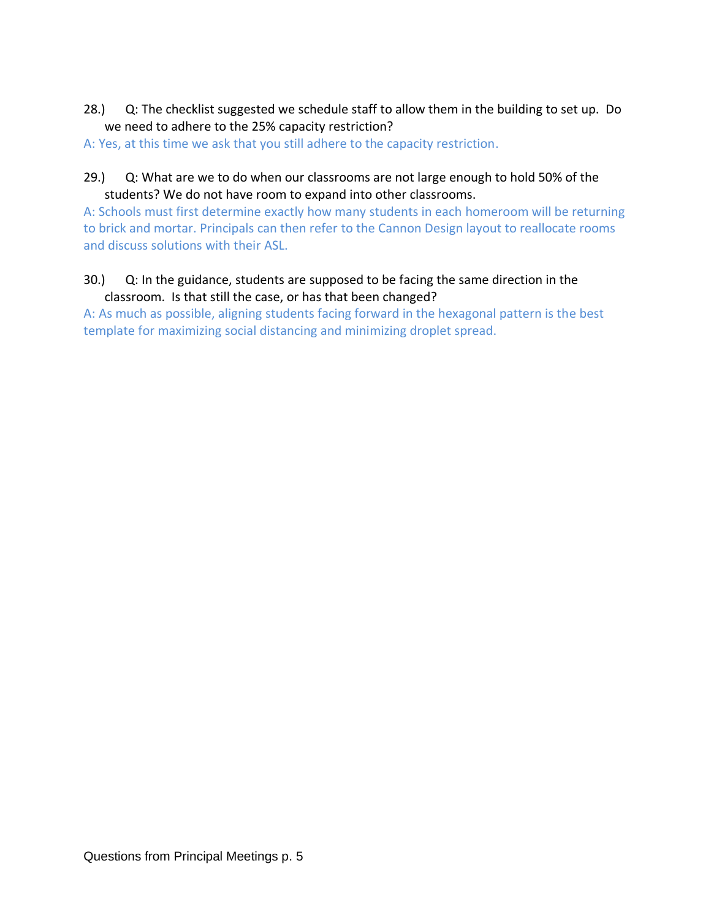- 28.) Q: The checklist suggested we schedule staff to allow them in the building to set up. Do we need to adhere to the 25% capacity restriction?
- A: Yes, at this time we ask that you still adhere to the capacity restriction.
- 29.) Q: What are we to do when our classrooms are not large enough to hold 50% of the students? We do not have room to expand into other classrooms.

A: Schools must first determine exactly how many students in each homeroom will be returning to brick and mortar. Principals can then refer to the Cannon Design layout to reallocate rooms and discuss solutions with their ASL.

30.) Q: In the guidance, students are supposed to be facing the same direction in the classroom. Is that still the case, or has that been changed?

A: As much as possible, aligning students facing forward in the hexagonal pattern is the best template for maximizing social distancing and minimizing droplet spread.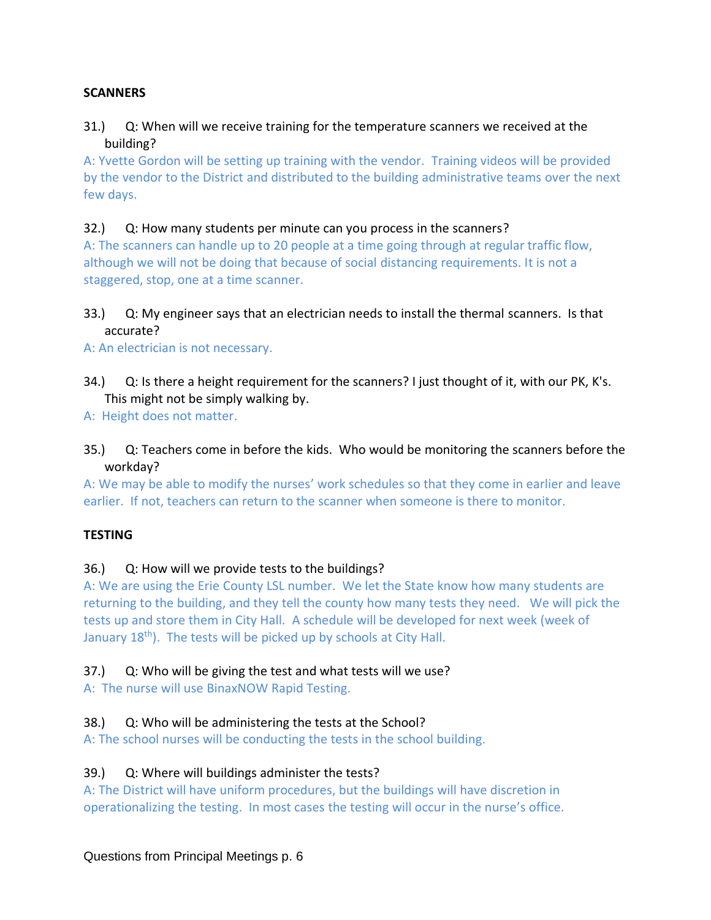## **SCANNERS**

## 31.) Q: When will we receive training for the temperature scanners we received at the building?

A: Yvette Gordon will be setting up training with the vendor. Training videos will be provided by the vendor to the District and distributed to the building administrative teams over the next few days.

## 32.) Q: How many students per minute can you process in the scanners?

A: The scanners can handle up to 20 people at a time going through at regular traffic flow, although we will not be doing that because of social distancing requirements. It is not a staggered, stop, one at a time scanner.

# 33.) Q: My engineer says that an electrician needs to install the thermal scanners. Is that accurate?

A: An electrician is not necessary.

34.) Q: Is there a height requirement for the scanners? I just thought of it, with our PK, K's. This might not be simply walking by.

A: Height does not matter.

35.) Q: Teachers come in before the kids. Who would be monitoring the scanners before the workday?

A: We may be able to modify the nurses' work schedules so that they come in earlier and leave earlier. If not, teachers can return to the scanner when someone is there to monitor.

## **TESTING**

# 36.) Q: How will we provide tests to the buildings?

A: We are using the Erie County LSL number. We let the State know how many students are returning to the building, and they tell the county how many tests they need. We will pick the tests up and store them in City Hall. A schedule will be developed for next week (week of January  $18<sup>th</sup>$ ). The tests will be picked up by schools at City Hall.

## 37.) Q: Who will be giving the test and what tests will we use?

A: The nurse will use BinaxNOW Rapid Testing.

# 38.) Q: Who will be administering the tests at the School?

A: The school nurses will be conducting the tests in the school building.

# 39.) Q: Where will buildings administer the tests?

A: The District will have uniform procedures, but the buildings will have discretion in operationalizing the testing. In most cases the testing will occur in the nurse's office.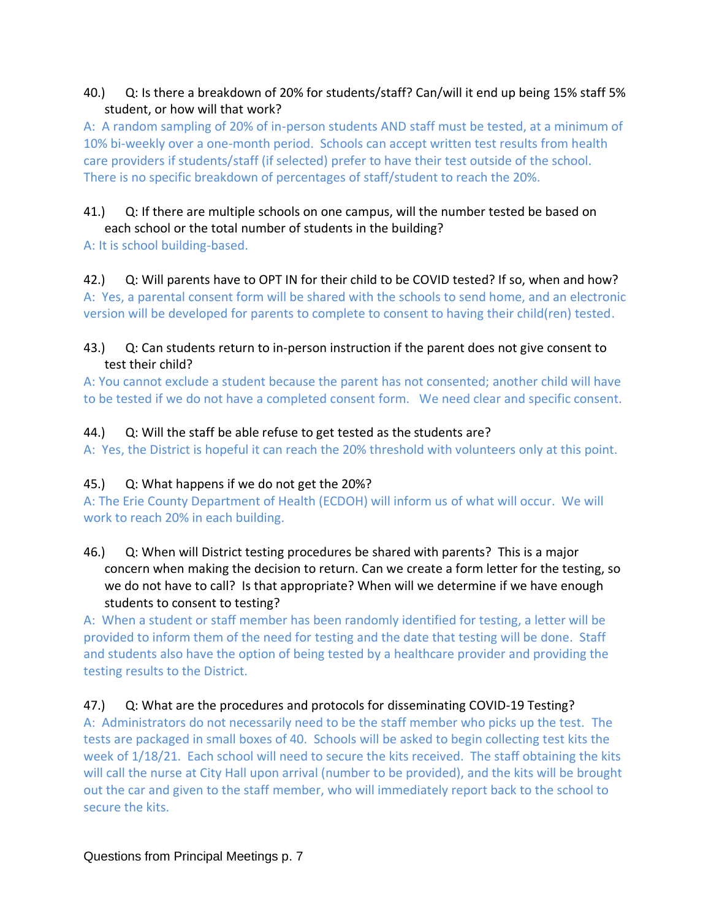## 40.) Q: Is there a breakdown of 20% for students/staff? Can/will it end up being 15% staff 5% student, or how will that work?

A: A random sampling of 20% of in-person students AND staff must be tested, at a minimum of 10% bi-weekly over a one-month period. Schools can accept written test results from health care providers if students/staff (if selected) prefer to have their test outside of the school. There is no specific breakdown of percentages of staff/student to reach the 20%.

#### 41.) Q: If there are multiple schools on one campus, will the number tested be based on each school or the total number of students in the building?

A: It is school building-based.

# 42.) Q: Will parents have to OPT IN for their child to be COVID tested? If so, when and how?

A: Yes, a parental consent form will be shared with the schools to send home, and an electronic version will be developed for parents to complete to consent to having their child(ren) tested.

# 43.) Q: Can students return to in-person instruction if the parent does not give consent to test their child?

A: You cannot exclude a student because the parent has not consented; another child will have to be tested if we do not have a completed consent form. We need clear and specific consent.

# 44.) Q: Will the staff be able refuse to get tested as the students are?

A: Yes, the District is hopeful it can reach the 20% threshold with volunteers only at this point.

## 45.) Q: What happens if we do not get the 20%?

A: The Erie County Department of Health (ECDOH) will inform us of what will occur. We will work to reach 20% in each building.

# 46.) Q: When will District testing procedures be shared with parents? This is a major concern when making the decision to return. Can we create a form letter for the testing, so we do not have to call? Is that appropriate? When will we determine if we have enough students to consent to testing?

A: When a student or staff member has been randomly identified for testing, a letter will be provided to inform them of the need for testing and the date that testing will be done. Staff and students also have the option of being tested by a healthcare provider and providing the testing results to the District.

# 47.) Q: What are the procedures and protocols for disseminating COVID-19 Testing?

A: Administrators do not necessarily need to be the staff member who picks up the test. The tests are packaged in small boxes of 40. Schools will be asked to begin collecting test kits the week of 1/18/21. Each school will need to secure the kits received. The staff obtaining the kits will call the nurse at City Hall upon arrival (number to be provided), and the kits will be brought out the car and given to the staff member, who will immediately report back to the school to secure the kits.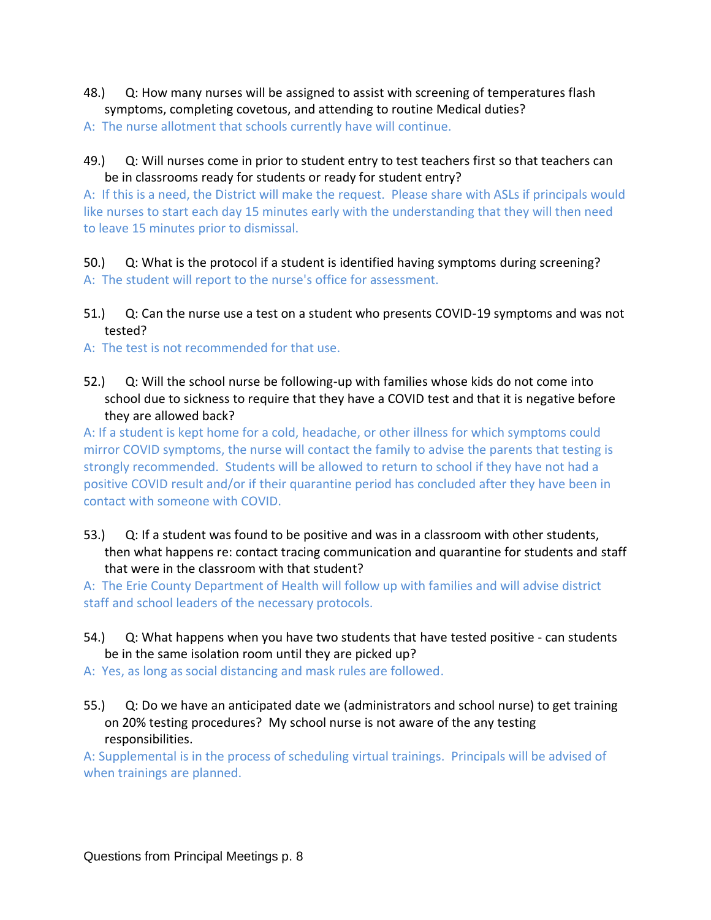- 48.) Q: How many nurses will be assigned to assist with screening of temperatures flash symptoms, completing covetous, and attending to routine Medical duties?
- A: The nurse allotment that schools currently have will continue.
- 49.) Q: Will nurses come in prior to student entry to test teachers first so that teachers can be in classrooms ready for students or ready for student entry?

A: If this is a need, the District will make the request. Please share with ASLs if principals would like nurses to start each day 15 minutes early with the understanding that they will then need to leave 15 minutes prior to dismissal.

50.) Q: What is the protocol if a student is identified having symptoms during screening? A: The student will report to the nurse's office for assessment.

- 51.) Q: Can the nurse use a test on a student who presents COVID-19 symptoms and was not tested?
- A: The test is not recommended for that use.
- 52.) Q: Will the school nurse be following-up with families whose kids do not come into school due to sickness to require that they have a COVID test and that it is negative before they are allowed back?

A: If a student is kept home for a cold, headache, or other illness for which symptoms could mirror COVID symptoms, the nurse will contact the family to advise the parents that testing is strongly recommended. Students will be allowed to return to school if they have not had a positive COVID result and/or if their quarantine period has concluded after they have been in contact with someone with COVID.

53.) Q: If a student was found to be positive and was in a classroom with other students, then what happens re: contact tracing communication and quarantine for students and staff that were in the classroom with that student?

A: The Erie County Department of Health will follow up with families and will advise district staff and school leaders of the necessary protocols.

- 54.) Q: What happens when you have two students that have tested positive can students be in the same isolation room until they are picked up?
- A: Yes, as long as social distancing and mask rules are followed.
- 55.) Q: Do we have an anticipated date we (administrators and school nurse) to get training on 20% testing procedures? My school nurse is not aware of the any testing responsibilities.

A: Supplemental is in the process of scheduling virtual trainings. Principals will be advised of when trainings are planned.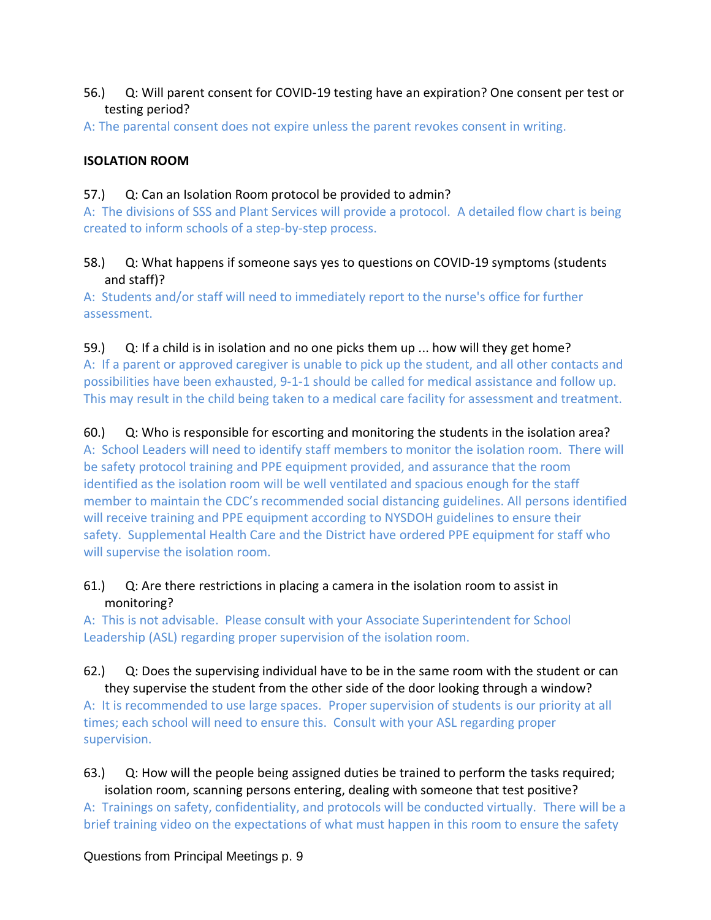- 56.) Q: Will parent consent for COVID-19 testing have an expiration? One consent per test or testing period?
- A: The parental consent does not expire unless the parent revokes consent in writing.

## **ISOLATION ROOM**

57.) Q: Can an Isolation Room protocol be provided to admin?

A: The divisions of SSS and Plant Services will provide a protocol. A detailed flow chart is being created to inform schools of a step-by-step process.

#### 58.) Q: What happens if someone says yes to questions on COVID-19 symptoms (students and staff)?

A: Students and/or staff will need to immediately report to the nurse's office for further assessment.

#### 59.) Q: If a child is in isolation and no one picks them up ... how will they get home?

A: If a parent or approved caregiver is unable to pick up the student, and all other contacts and possibilities have been exhausted, 9-1-1 should be called for medical assistance and follow up. This may result in the child being taken to a medical care facility for assessment and treatment.

## 60.) Q: Who is responsible for escorting and monitoring the students in the isolation area?

A: School Leaders will need to identify staff members to monitor the isolation room. There will be safety protocol training and PPE equipment provided, and assurance that the room identified as the isolation room will be well ventilated and spacious enough for the staff member to maintain the CDC's recommended social distancing guidelines. All persons identified will receive training and PPE equipment according to NYSDOH guidelines to ensure their safety. Supplemental Health Care and the District have ordered PPE equipment for staff who will supervise the isolation room.

## 61.) Q: Are there restrictions in placing a camera in the isolation room to assist in monitoring?

A: This is not advisable. Please consult with your Associate Superintendent for School Leadership (ASL) regarding proper supervision of the isolation room.

#### 62.) Q: Does the supervising individual have to be in the same room with the student or can they supervise the student from the other side of the door looking through a window?

A: It is recommended to use large spaces. Proper supervision of students is our priority at all times; each school will need to ensure this. Consult with your ASL regarding proper supervision.

# 63.) Q: How will the people being assigned duties be trained to perform the tasks required; isolation room, scanning persons entering, dealing with someone that test positive? A: Trainings on safety, confidentiality, and protocols will be conducted virtually. There will be a brief training video on the expectations of what must happen in this room to ensure the safety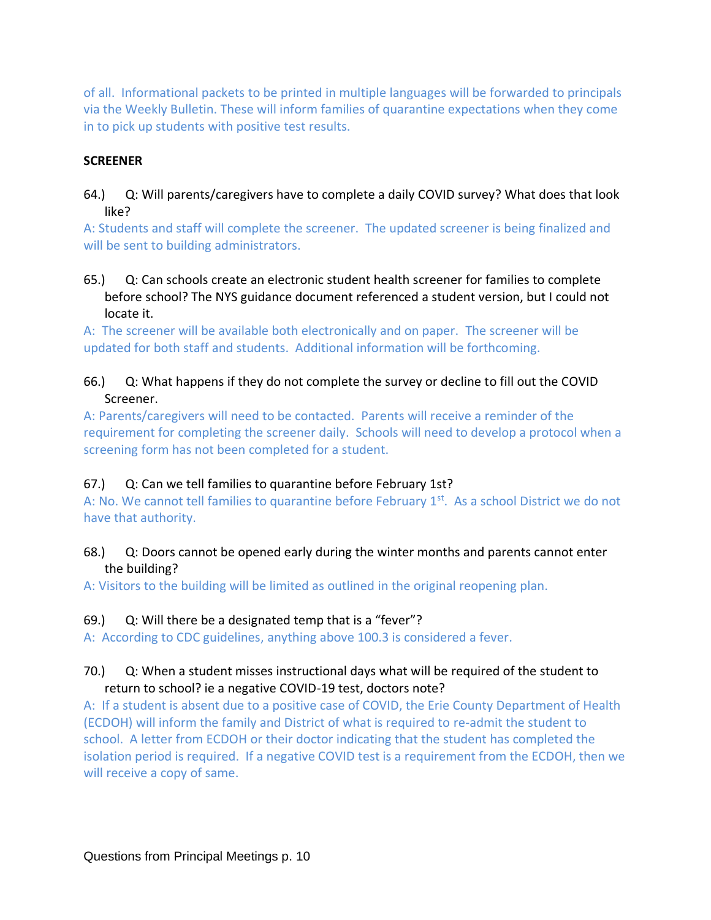of all. Informational packets to be printed in multiple languages will be forwarded to principals via the Weekly Bulletin. These will inform families of quarantine expectations when they come in to pick up students with positive test results.

#### **SCREENER**

64.) Q: Will parents/caregivers have to complete a daily COVID survey? What does that look like?

A: Students and staff will complete the screener. The updated screener is being finalized and will be sent to building administrators.

65.) Q: Can schools create an electronic student health screener for families to complete before school? The NYS guidance document referenced a student version, but I could not locate it.

A: The screener will be available both electronically and on paper. The screener will be updated for both staff and students. Additional information will be forthcoming.

66.) Q: What happens if they do not complete the survey or decline to fill out the COVID Screener.

A: Parents/caregivers will need to be contacted. Parents will receive a reminder of the requirement for completing the screener daily. Schools will need to develop a protocol when a screening form has not been completed for a student.

## 67.) Q: Can we tell families to quarantine before February 1st?

A: No. We cannot tell families to quarantine before February 1<sup>st</sup>. As a school District we do not have that authority.

68.) Q: Doors cannot be opened early during the winter months and parents cannot enter the building?

A: Visitors to the building will be limited as outlined in the original reopening plan.

## 69.) Q: Will there be a designated temp that is a "fever"?

A: According to CDC guidelines, anything above 100.3 is considered a fever.

## 70.) Q: When a student misses instructional days what will be required of the student to return to school? ie a negative COVID-19 test, doctors note?

A: If a student is absent due to a positive case of COVID, the Erie County Department of Health (ECDOH) will inform the family and District of what is required to re-admit the student to school. A letter from ECDOH or their doctor indicating that the student has completed the isolation period is required. If a negative COVID test is a requirement from the ECDOH, then we will receive a copy of same.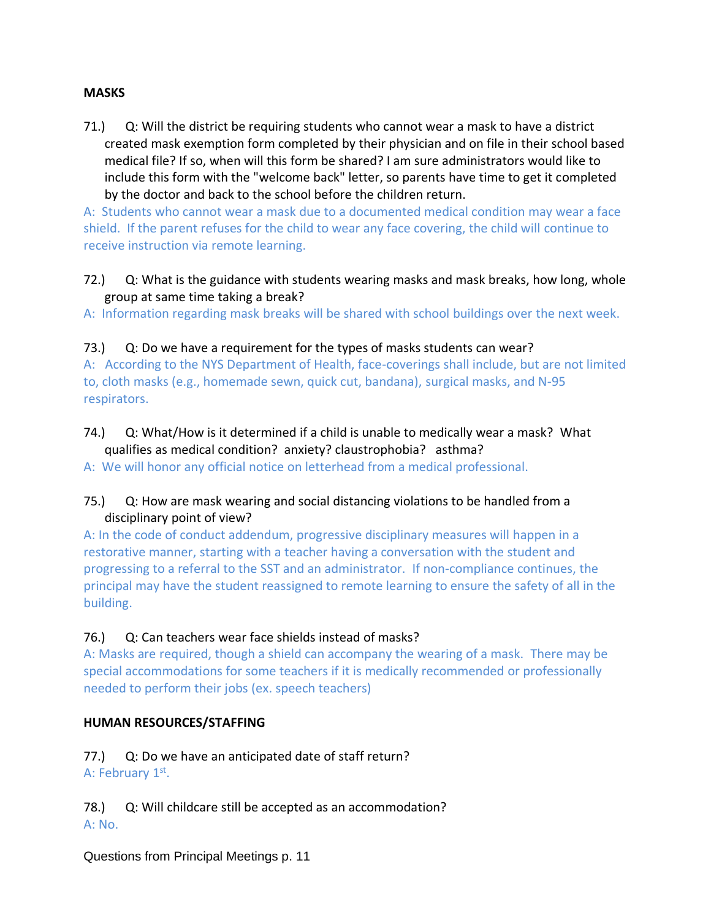#### **MASKS**

71.) Q: Will the district be requiring students who cannot wear a mask to have a district created mask exemption form completed by their physician and on file in their school based medical file? If so, when will this form be shared? I am sure administrators would like to include this form with the "welcome back" letter, so parents have time to get it completed by the doctor and back to the school before the children return.

A: Students who cannot wear a mask due to a documented medical condition may wear a face shield. If the parent refuses for the child to wear any face covering, the child will continue to receive instruction via remote learning.

72.) Q: What is the guidance with students wearing masks and mask breaks, how long, whole group at same time taking a break?

A: Information regarding mask breaks will be shared with school buildings over the next week.

#### 73.) Q: Do we have a requirement for the types of masks students can wear?

A: According to the NYS Department of Health, face-coverings shall include, but are not limited to, cloth masks (e.g., homemade sewn, quick cut, bandana), surgical masks, and N-95 respirators.

74.) Q: What/How is it determined if a child is unable to medically wear a mask? What qualifies as medical condition? anxiety? claustrophobia? asthma?

A: We will honor any official notice on letterhead from a medical professional.

## 75.) Q: How are mask wearing and social distancing violations to be handled from a disciplinary point of view?

A: In the code of conduct addendum, progressive disciplinary measures will happen in a restorative manner, starting with a teacher having a conversation with the student and progressing to a referral to the SST and an administrator. If non-compliance continues, the principal may have the student reassigned to remote learning to ensure the safety of all in the building.

## 76.) Q: Can teachers wear face shields instead of masks?

A: Masks are required, though a shield can accompany the wearing of a mask. There may be special accommodations for some teachers if it is medically recommended or professionally needed to perform their jobs (ex. speech teachers)

## **HUMAN RESOURCES/STAFFING**

77.) Q: Do we have an anticipated date of staff return? A: February 1st.

78.) Q: Will childcare still be accepted as an accommodation? A: No.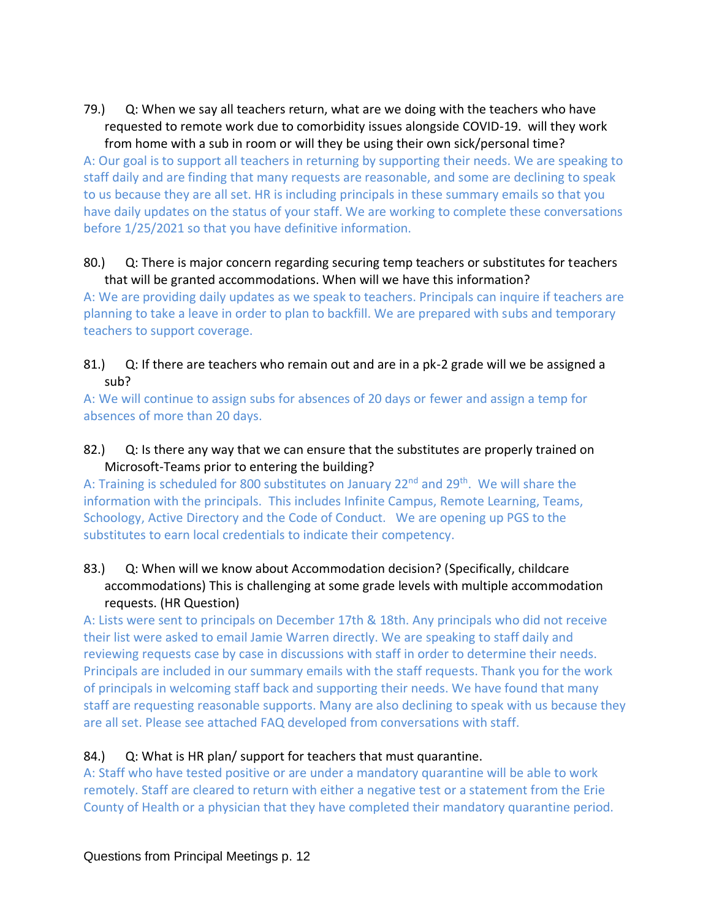79.) Q: When we say all teachers return, what are we doing with the teachers who have requested to remote work due to comorbidity issues alongside COVID-19. will they work from home with a sub in room or will they be using their own sick/personal time?

A: Our goal is to support all teachers in returning by supporting their needs. We are speaking to staff daily and are finding that many requests are reasonable, and some are declining to speak to us because they are all set. HR is including principals in these summary emails so that you have daily updates on the status of your staff. We are working to complete these conversations before 1/25/2021 so that you have definitive information.

#### 80.) Q: There is major concern regarding securing temp teachers or substitutes for teachers that will be granted accommodations. When will we have this information?

A: We are providing daily updates as we speak to teachers. Principals can inquire if teachers are planning to take a leave in order to plan to backfill. We are prepared with subs and temporary teachers to support coverage.

81.) Q: If there are teachers who remain out and are in a pk-2 grade will we be assigned a sub?

A: We will continue to assign subs for absences of 20 days or fewer and assign a temp for absences of more than 20 days.

82.) Q: Is there any way that we can ensure that the substitutes are properly trained on Microsoft-Teams prior to entering the building?

A: Training is scheduled for 800 substitutes on January 22<sup>nd</sup> and 29<sup>th</sup>. We will share the information with the principals. This includes Infinite Campus, Remote Learning, Teams, Schoology, Active Directory and the Code of Conduct. We are opening up PGS to the substitutes to earn local credentials to indicate their competency.

83.) Q: When will we know about Accommodation decision? (Specifically, childcare accommodations) This is challenging at some grade levels with multiple accommodation requests. (HR Question)

A: Lists were sent to principals on December 17th & 18th. Any principals who did not receive their list were asked to email Jamie Warren directly. We are speaking to staff daily and reviewing requests case by case in discussions with staff in order to determine their needs. Principals are included in our summary emails with the staff requests. Thank you for the work of principals in welcoming staff back and supporting their needs. We have found that many staff are requesting reasonable supports. Many are also declining to speak with us because they are all set. Please see attached FAQ developed from conversations with staff.

## 84.) Q: What is HR plan/ support for teachers that must quarantine.

A: Staff who have tested positive or are under a mandatory quarantine will be able to work remotely. Staff are cleared to return with either a negative test or a statement from the Erie County of Health or a physician that they have completed their mandatory quarantine period.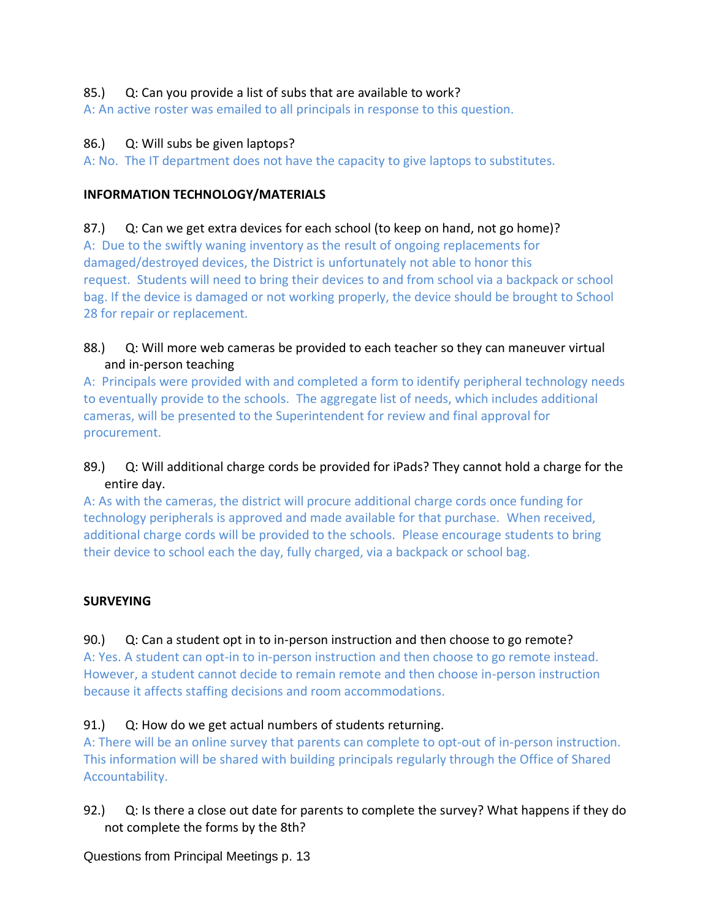## 85.) Q: Can you provide a list of subs that are available to work?

A: An active roster was emailed to all principals in response to this question.

## 86.) Q: Will subs be given laptops?

A: No. The IT department does not have the capacity to give laptops to substitutes.

# **INFORMATION TECHNOLOGY/MATERIALS**

# 87.) Q: Can we get extra devices for each school (to keep on hand, not go home)?

A: Due to the swiftly waning inventory as the result of ongoing replacements for damaged/destroyed devices, the District is unfortunately not able to honor this request. Students will need to bring their devices to and from school via a backpack or school bag. If the device is damaged or not working properly, the device should be brought to School 28 for repair or replacement.

# 88.) Q: Will more web cameras be provided to each teacher so they can maneuver virtual and in-person teaching

A: Principals were provided with and completed a form to identify peripheral technology needs to eventually provide to the schools. The aggregate list of needs, which includes additional cameras, will be presented to the Superintendent for review and final approval for procurement.

# 89.) Q: Will additional charge cords be provided for iPads? They cannot hold a charge for the entire day.

A: As with the cameras, the district will procure additional charge cords once funding for technology peripherals is approved and made available for that purchase. When received, additional charge cords will be provided to the schools. Please encourage students to bring their device to school each the day, fully charged, via a backpack or school bag.

# **SURVEYING**

# 90.) Q: Can a student opt in to in-person instruction and then choose to go remote?

A: Yes. A student can opt-in to in-person instruction and then choose to go remote instead. However, a student cannot decide to remain remote and then choose in-person instruction because it affects staffing decisions and room accommodations.

# 91.) Q: How do we get actual numbers of students returning.

A: There will be an online survey that parents can complete to opt-out of in-person instruction. This information will be shared with building principals regularly through the Office of Shared Accountability.

92.) Q: Is there a close out date for parents to complete the survey? What happens if they do not complete the forms by the 8th?